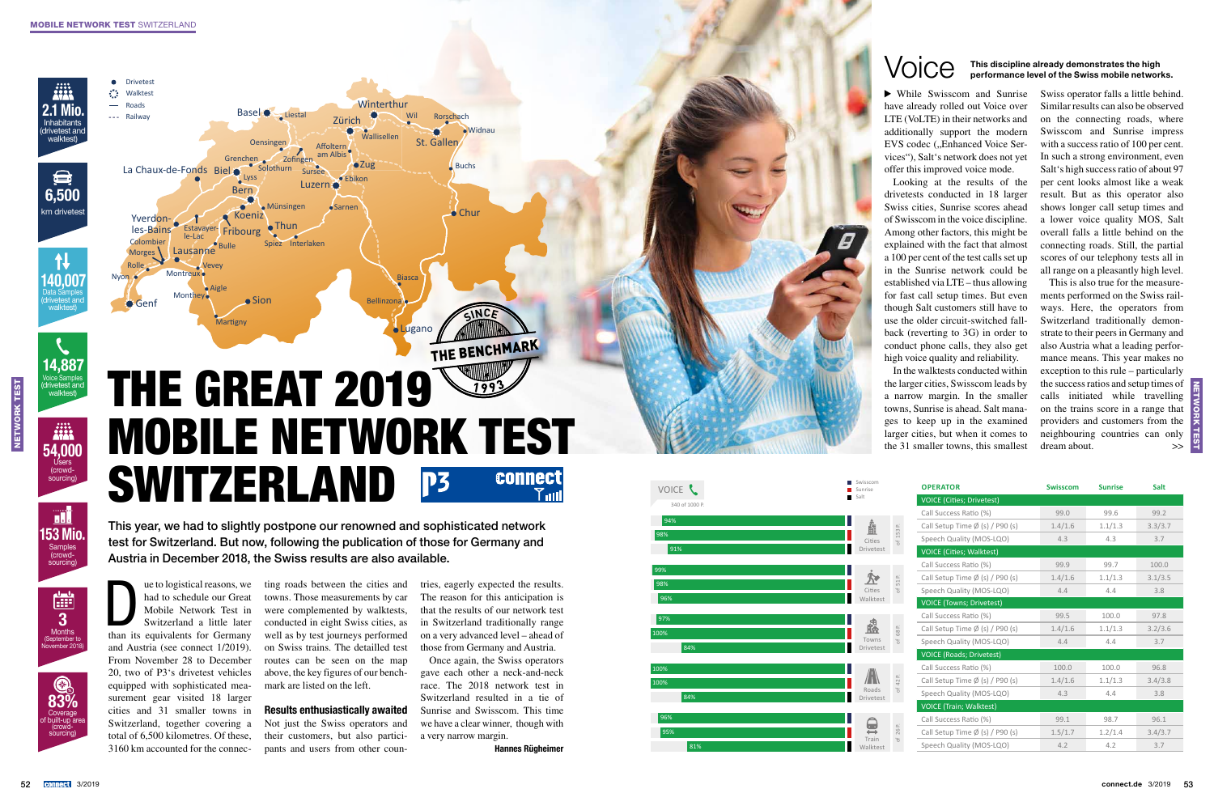Lugan o

Lausanne

Bern

Base l

Yverdon-

**Drivetest** ∴ Walktest Road s --- Railway

> Month y

Montreur

Estavayer-

les-Bains Estavayer-Fribourg

Sio n Chur

**Buchs** 

St. Galle n

Wallisellen Ct. Callan

Morges<sup>1</sup> Colombie r Zürich

Rolle 2

Koeniz

Bellinzona

**Oensinge** n

Spie z Interlaken

**Münsingen** 

Biasc a

Bulle

y

Aigl e

Nyon

Sursee

Wil Rorschac h

Widna

Grenchen

**Fribourg** 

Martigny

Liesta l

Lyss

Ebikon

 $\bullet$ Sarnen

Zofinge n **Winterthur** 

 $OZ$ 

Solothur n

The use of logistical reasons, we<br>had to schedule our Great<br>Mobile Network Test in<br>Switzerland a little later<br>than its equivalents for Germany had to schedule our Great Mobile Network Test in Switzerland a little later than its equivalents for Germany and Austria (see connect 1/2019). From November 28 to December 20, two of P3's drivetest vehicles equipped with sophisticated mea surement gear visited 18 larger cities and 31 smaller towns in Switzerland, together covering a total of 6,500 kilometres. Of these,

Network test

**NETWORK TEST** 

# **THE BENCHMARK** THE GREAT 2019  $199$ MOBILE NETWORK TEST **SWITZERLAND**  $\overline{a}$ P3 connect

Luzern **O** 

am Albi

La Chaux-de-Fonds Biel

Genf

ting roads between the cities and towns. Those measurements by car were complemented by walktests, conducted in eight Swiss cities, as well as by test journeys performed on Swiss trains. The detailled test routes can be seen on the map above, the key figures of our bench mark are listed on the left.

3160 km accounted for the connec - pants and users from other coun - Not just the Swiss operators and their customers, but also partici -

## Results enthusiastically awaited

tries, eagerly expected the results. The reason for this anticipation is that the results of our network test in Switzerland traditionally range on a very advanced level – ahead of those from Germany and Austria.

Once again, the Swiss operators gave each other a neck-and-neck race. The 2018 network test in Switzerland resulted in a tie of Sunrise and Swisscom. This time we have a clear winner, though with a very narrow margin.

Hannes Rügheimer

This is also true for the measure ments performed on the Swiss rail ways. Here, the operators from Switzerland traditionally demon strate to their peers in Germany and also Austria what a leading perfor mance means. This year makes no exception to this rule – particularly the success ratios and setup times of calls initiated while travelling on the trains score in a range that providers and customers from the neighbouring countries can only dream about.  $>$ 

This year, we had to slightly postpone our renowned and sophisticated network test for Switzerland. But now, following the publication of those for Germany and Austria in December 2018, the Swiss results are also available.

 While Swisscom and Sunrise have already rolled out Voice over LTE (VoLTE) in their networks and additionally support the modern EVS codec ("Enhanced Voice Services"), Salt's network does not yet offer this improved voice mode.

Looking at the results of the drivetests conducted in 18 larger Swiss cities, Sunrise scores ahead of Swisscom in the voice discipline. Among other factors, this might be explained with the fact that almost a 100 per cent of the test calls set up in the Sunrise network could be established via LTE – thus allowing for fast call setup times. But even though Salt customers still have to use the older circuit-switched fall back (reverting to 3G) in order to conduct phone calls, they also get high voice quality and reliability.

In the walktests conducted within the larger cities, Swisscom leads by a narrow margin. In the smaller towns, Sunrise is ahead. Salt mana ges to keep up in the examined larger cities, but when it comes to the 31 smaller towns, this smallest

Swiss operator falls a little behind. Similar results can also be observed on the connecting roads, where Swisscom and Sunrise impress with a success ratio of 100 per cent. In such a strong environment, even Salt's high success ratio of about 97 per cent looks almost like a weak result. But as this operator also shows longer call setup times and a lower voice quality MOS, Salt overall falls a little behind on the connecting roads. Still, the partial scores of our telephony tests all in all range on a pleasantly high level.



# This discipline already demonstrates the high<br>performance level of the Swiss mobile networks.

| E L        | Swisscom<br>Sunrise        |                              | <b>OPERATOR</b>                           | <b>Swisscom</b> | <b>Sunrise</b> | Salt    |
|------------|----------------------------|------------------------------|-------------------------------------------|-----------------|----------------|---------|
| of 1000 P. | Salt                       |                              | <b>VOICE (Cities; Drivetest)</b>          |                 |                |         |
|            |                            |                              | Call Success Ratio (%)                    | 99.0            | 99.6           | 99.2    |
|            | Å                          | 153 P.                       | Call Setup Time $\emptyset$ (s) / P90 (s) | 1.4/1.6         | 1.1/1.3        | 3.3/3.7 |
|            | Cities                     |                              | Speech Quality (MOS-LQO)                  | 4.3             | 4.3            | 3.7     |
|            | Drivetest                  |                              | <b>VOICE (Cities; Walktest)</b>           |                 |                |         |
|            |                            |                              | Call Success Ratio (%)                    | 99.9            | 99.7           | 100.0   |
|            | $\boldsymbol{\mathcal{R}}$ | 51 P.<br>ď                   | Call Setup Time $\emptyset$ (s) / P90 (s) | 1.4/1.6         | 1.1/1.3        | 3.1/3.5 |
|            | Cities                     |                              | Speech Quality (MOS-LQO)                  | 4.4             | 4.4            | 3.8     |
|            | Walktest                   |                              | <b>VOICE (Towns; Drivetest)</b>           |                 |                |         |
|            |                            | 68 P.                        | Call Success Ratio (%)                    | 99.5            | 100.0          | 97.8    |
|            | 矗                          |                              | Call Setup Time $\emptyset$ (s) / P90 (s) | 1.4/1.6         | 1.1/1.3        | 3.2/3.6 |
| 84%        | Towns                      |                              | Speech Quality (MOS-LQO)                  | 4.4             | 4.4            | 3.7     |
|            | Drivetest                  |                              | <b>VOICE (Roads; Drivetest)</b>           |                 |                |         |
|            |                            |                              | Call Success Ratio (%)                    | 100.0           | 100.0          | 96.8    |
|            |                            | 42 P.<br>$\overline{\sigma}$ | Call Setup Time $\emptyset$ (s) / P90 (s) | 1.4/1.6         | 1.1/1.3        | 3.4/3.8 |
| 84%        | Roads<br>Drivetest         |                              | Speech Quality (MOS-LQO)                  | 4.3             | 4.4            | 3.8     |
|            |                            |                              | <b>VOICE (Train; Walktest)</b>            |                 |                |         |
|            | $\mathbf \Theta$           |                              | Call Success Ratio (%)                    | 99.1            | 98.7           | 96.1    |
|            |                            | $\simeq$<br>26               | Call Setup Time $\emptyset$ (s) / P90 (s) | 1.5/1.7         | 1.2/1.4        | 3.4/3.7 |
| 81%        | Train<br>Walktest          | $\overline{\sigma}$          | Speech Quality (MOS-LQO)                  | 4.2             | 4.2            | 3.7     |









Samples (crowd-sourcing)

153 Mio.

<u>al</u>





Users (crowd-sourcing)

54,000

ijii<br>Ala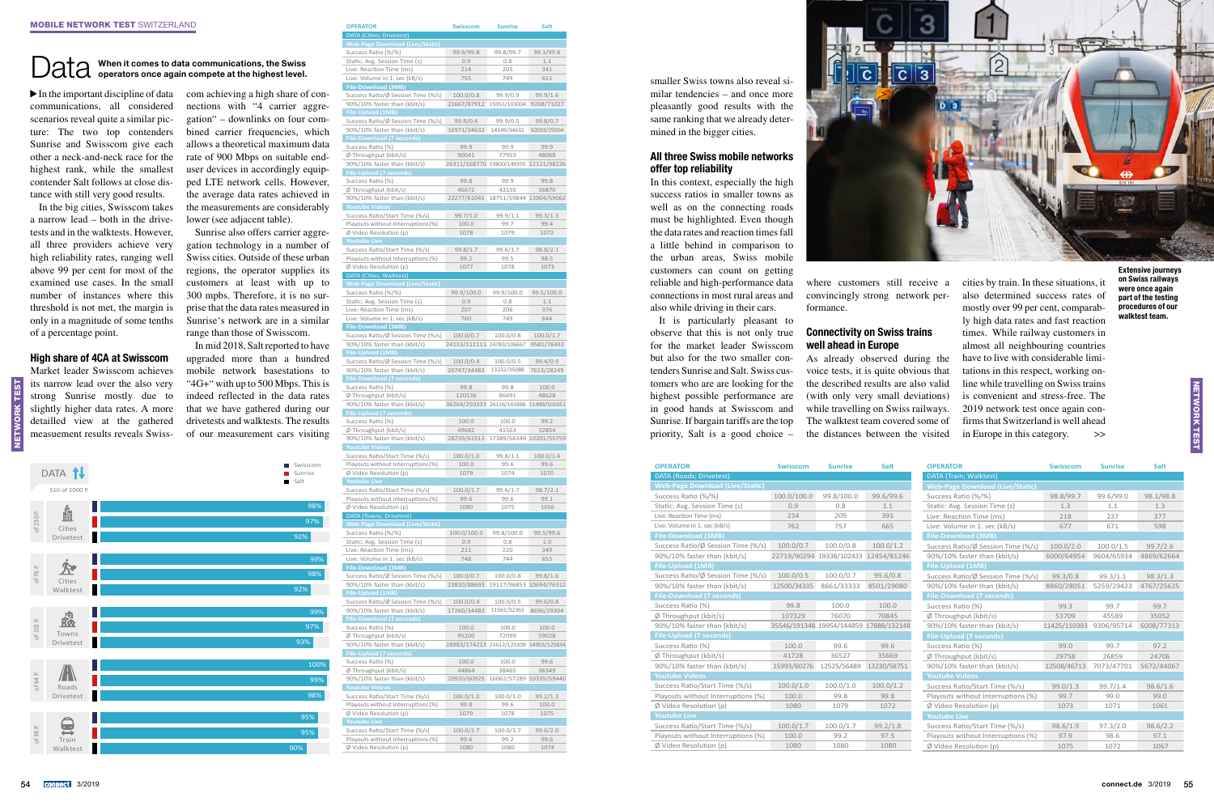### Data When it comes to data communications, the Swiss operators once again co

Network test

 $\blacktriangleright$  In the important discipline of data co communications, all considered scenarios reveal quite a similar picture: The two top contenders Sunrise and Swisscom give each other a neck-and-neck race for the highest rank, while the smallest contender Salt follows at close distance with still very good results.

In the big cities, Swisscom takes a narrow lead – both in the drivetests and in the walktests. However, all three providers achieve very high reliability rates, ranging well above 99 per cent for most of the examined use cases. In the small number of instances where this threshold is not met, the margin is only in a magnitude of some tenths of a percentage point.

### High share of 4CA at Swisscom

Market leader Swisscom achieves its narrow lead over the also very strong Sunrise mostly due to slightly higher data rates. A more detailled view at the gathered measuement results reveals Swiss-

| compete at the highest level.      |
|------------------------------------|
| com achieving a high share of con- |
| nections with "4 carrier aggre-    |
| gation" – downlinks on four com-   |
| bined carrier frequencies, which   |
| allows a theoretical maximum data  |
| rate of 900 Mbps on suitable end-  |
| user devices in accordingly equip- |
| ped LTE network cells. However,    |
| the average data rates achieved in |
| the measurements are considerably  |
| lower (see adjacent table).        |

Sunrise also offers carrier aggregation technology in a number of Swiss cities. Outside of these urban regions, the operator supplies its customers at least with up to 300 mpbs. Therefore, it is no surprise that the data rates measured in Sunrise's network are in a similar range than those of Swisscom.

In mid 2018, Salt reported to have upgraded more than a hundred mobile network basestations to "4G+" with up to 500 Mbps. This is indeed reflected in the data rates that we have gathered during our drivetests and walktests. The results of our measurement cars visiting

**OPERATOR Swisscom Sunrise Salt**

DATA (Cities; Drivetest)

| load (Live<br>eb-Page Down                                                                                                                                                                                                                                                                                                                                                                                                                                                                                         |                                        |                         |              |
|--------------------------------------------------------------------------------------------------------------------------------------------------------------------------------------------------------------------------------------------------------------------------------------------------------------------------------------------------------------------------------------------------------------------------------------------------------------------------------------------------------------------|----------------------------------------|-------------------------|--------------|
| Success Ratio (%/%)                                                                                                                                                                                                                                                                                                                                                                                                                                                                                                | 99.9/99.8                              | 99.8/99.7               | 99.3/99.8    |
| Static: Avg. Session Time (s)                                                                                                                                                                                                                                                                                                                                                                                                                                                                                      | 0.9                                    | 0.8                     | 1.1          |
| Live: Reaction Time (ms)                                                                                                                                                                                                                                                                                                                                                                                                                                                                                           | 214                                    | 203                     | 341          |
| Live: Volume in 1. sec (kB/s)                                                                                                                                                                                                                                                                                                                                                                                                                                                                                      | 755                                    | 749                     | 651          |
| File-Download (3MB)                                                                                                                                                                                                                                                                                                                                                                                                                                                                                                |                                        |                         |              |
| Success Ratio/Ø Session Time (%/s)                                                                                                                                                                                                                                                                                                                                                                                                                                                                                 | 100.0/0.8                              | 99.9/0.9                | 99.9/1.6     |
| 90%/10% faster than (kbit/s)                                                                                                                                                                                                                                                                                                                                                                                                                                                                                       | 21667/87912                            | 15951/103004            | 9208/71027   |
| <b>File-Upload (1MB)</b>                                                                                                                                                                                                                                                                                                                                                                                                                                                                                           |                                        |                         |              |
| Success Ratio/Ø Session Time (%/s)                                                                                                                                                                                                                                                                                                                                                                                                                                                                                 | 99.9/0.4                               | 99.9/0.5                | 99.8/0.7     |
| 90%/10% faster than (kbit/s)                                                                                                                                                                                                                                                                                                                                                                                                                                                                                       | 16971/34632                            | 14149/34632             | 10593/29304  |
| <b>File-Download (7 seconds)</b>                                                                                                                                                                                                                                                                                                                                                                                                                                                                                   |                                        |                         |              |
| Success Ratio (%)                                                                                                                                                                                                                                                                                                                                                                                                                                                                                                  | 99.9                                   | 99.9                    | 99.9         |
| Ø Throughput (kbit/s)                                                                                                                                                                                                                                                                                                                                                                                                                                                                                              | 90041                                  | 77953                   | 48068        |
| 90%/10% faster than (kbit/s)                                                                                                                                                                                                                                                                                                                                                                                                                                                                                       | 26311/168770 19800/149355 12121/98226  |                         |              |
| <b>File-Upload (7 seconds)</b>                                                                                                                                                                                                                                                                                                                                                                                                                                                                                     |                                        |                         |              |
| Success Ratio (%)                                                                                                                                                                                                                                                                                                                                                                                                                                                                                                  | 99.8                                   | 99.9                    | 99.8         |
| Ø Throughput (kbit/s)                                                                                                                                                                                                                                                                                                                                                                                                                                                                                              | 46672                                  | 43155                   | 36870        |
| 90%/10% faster than (kbit/s)                                                                                                                                                                                                                                                                                                                                                                                                                                                                                       | 22277/61041                            | 18751/59844 13004/59062 |              |
| <b>Youtube Videos</b>                                                                                                                                                                                                                                                                                                                                                                                                                                                                                              |                                        |                         |              |
| Success Ratio/Start Time (%/s)                                                                                                                                                                                                                                                                                                                                                                                                                                                                                     | 99.7/1.0                               | 99.9/1.1                | 99.3/1.3     |
| Playouts without Interruptions (%)                                                                                                                                                                                                                                                                                                                                                                                                                                                                                 | 100.0                                  | 99.7                    | 99.4         |
| Ø Video Resolution (p)                                                                                                                                                                                                                                                                                                                                                                                                                                                                                             | 1078                                   | 1079                    | 1072         |
| <b>Youtube Live</b>                                                                                                                                                                                                                                                                                                                                                                                                                                                                                                |                                        |                         |              |
| Success Ratio/Start Time (%/s)                                                                                                                                                                                                                                                                                                                                                                                                                                                                                     | 99.8/1.7                               | 99.6/1.7                | 98.8/2.1     |
| Playouts without Interruptions (%)                                                                                                                                                                                                                                                                                                                                                                                                                                                                                 | 99.2                                   | 99.5                    | 98.5         |
| Ø Video Resolution (p)                                                                                                                                                                                                                                                                                                                                                                                                                                                                                             | 1077                                   | 1078                    | 1073         |
| DATA (Cities; Walktest)                                                                                                                                                                                                                                                                                                                                                                                                                                                                                            |                                        |                         |              |
| <b>Web-Page Download (Live/Static)</b>                                                                                                                                                                                                                                                                                                                                                                                                                                                                             |                                        |                         |              |
| Success Ratio (%/%)                                                                                                                                                                                                                                                                                                                                                                                                                                                                                                | 99.9/100.0                             | 99.9/100.0              | 99.5/100.0   |
| Static: Avg. Session Time (s)                                                                                                                                                                                                                                                                                                                                                                                                                                                                                      | 0.9                                    | 0.8                     | 1.1          |
|                                                                                                                                                                                                                                                                                                                                                                                                                                                                                                                    | 207                                    | 206                     |              |
| Live: Reaction Time (ms)                                                                                                                                                                                                                                                                                                                                                                                                                                                                                           |                                        |                         | 376          |
| Live: Volume in 1. sec (kB/s)                                                                                                                                                                                                                                                                                                                                                                                                                                                                                      | 760                                    | 749                     | 644          |
| <b>File-Download (3MB)</b>                                                                                                                                                                                                                                                                                                                                                                                                                                                                                         |                                        |                         |              |
| Success Ratio/Ø Session Time (%/s)                                                                                                                                                                                                                                                                                                                                                                                                                                                                                 | 100.0/0.7                              | 100.0/0.8               | 100.0/1.7    |
| 90%/10% faster than (kbit/s)                                                                                                                                                                                                                                                                                                                                                                                                                                                                                       | 24113/111111 24783/106667              |                         | 9581/76433   |
| File-Upload (1MB)                                                                                                                                                                                                                                                                                                                                                                                                                                                                                                  |                                        |                         |              |
| Success Ratio/Ø Session Time (%/s)                                                                                                                                                                                                                                                                                                                                                                                                                                                                                 | 100.0/0.4                              | 100.0/0.5               | 99.4/0.9     |
| 90%/10% faster than (kbit/s)                                                                                                                                                                                                                                                                                                                                                                                                                                                                                       | 20747/34483                            | 13232/35088             | 7613/28249   |
| <b>File-Download (7 seconds)</b>                                                                                                                                                                                                                                                                                                                                                                                                                                                                                   |                                        |                         |              |
| Success Ratio (%)                                                                                                                                                                                                                                                                                                                                                                                                                                                                                                  | 99.8                                   | 99.8                    | 100.0        |
| Ø Throughput (kbit/s)                                                                                                                                                                                                                                                                                                                                                                                                                                                                                              | 120136                                 | 86691                   | 48628        |
| 90%/10% faster than (kbit/s)                                                                                                                                                                                                                                                                                                                                                                                                                                                                                       | 36264/250333 26126/165888 11499/101651 |                         |              |
| <b>File-Upload (7 seconds)</b>                                                                                                                                                                                                                                                                                                                                                                                                                                                                                     |                                        |                         |              |
| Success Ratio (%)                                                                                                                                                                                                                                                                                                                                                                                                                                                                                                  | 100.0                                  | 100.0                   | 99.2         |
| Ø Throughput (kbit/s)                                                                                                                                                                                                                                                                                                                                                                                                                                                                                              | 49682                                  | 41563                   | 32854        |
| 90%/10% faster than (kbit/s)                                                                                                                                                                                                                                                                                                                                                                                                                                                                                       | 28739/61513                            | 17389/58349             | 10201/55759  |
| <b>Youtube Videos</b>                                                                                                                                                                                                                                                                                                                                                                                                                                                                                              |                                        |                         |              |
| Success Ratio/Start Time (%/s)                                                                                                                                                                                                                                                                                                                                                                                                                                                                                     | 100.0/1.0                              | 99.8/1.1                | 100.0/1.4    |
| Playouts without Interruptions (%)                                                                                                                                                                                                                                                                                                                                                                                                                                                                                 | 100.0                                  | 99.6                    | 99.6         |
| Ø Video Resolution (p)                                                                                                                                                                                                                                                                                                                                                                                                                                                                                             | 1079                                   | 1074                    | 1070         |
| <b>Youtube Live</b>                                                                                                                                                                                                                                                                                                                                                                                                                                                                                                |                                        |                         |              |
| Success Ratio/Start Time (%/s)                                                                                                                                                                                                                                                                                                                                                                                                                                                                                     | 100.0/1.7                              | 99.6/1.7                | 98.7/2.1     |
| Playouts without Interruptions (%)                                                                                                                                                                                                                                                                                                                                                                                                                                                                                 | 99.6                                   | 99.6                    | 99.1         |
| Ø Video Resolution (p)                                                                                                                                                                                                                                                                                                                                                                                                                                                                                             | 1080                                   | 1075                    | 1056         |
| DATA (Towns; Drivetest)                                                                                                                                                                                                                                                                                                                                                                                                                                                                                            |                                        |                         |              |
| <b>Web-Page Download (Live/Static)</b>                                                                                                                                                                                                                                                                                                                                                                                                                                                                             |                                        |                         |              |
|                                                                                                                                                                                                                                                                                                                                                                                                                                                                                                                    |                                        |                         |              |
|                                                                                                                                                                                                                                                                                                                                                                                                                                                                                                                    | 100.0/100.0                            | 99.8/100.0              | 99.5/99.6    |
|                                                                                                                                                                                                                                                                                                                                                                                                                                                                                                                    | 0.9                                    | 0.8                     | 1.0          |
|                                                                                                                                                                                                                                                                                                                                                                                                                                                                                                                    | 211                                    | 220                     | 349          |
|                                                                                                                                                                                                                                                                                                                                                                                                                                                                                                                    | 748                                    | 744                     |              |
|                                                                                                                                                                                                                                                                                                                                                                                                                                                                                                                    |                                        |                         | 653          |
|                                                                                                                                                                                                                                                                                                                                                                                                                                                                                                                    |                                        |                         |              |
|                                                                                                                                                                                                                                                                                                                                                                                                                                                                                                                    | 100.0/0.7                              | 100.0/0.8               | 99.8/1.6     |
|                                                                                                                                                                                                                                                                                                                                                                                                                                                                                                                    | 23810/88693                            | 19117/96853 10694/76312 |              |
|                                                                                                                                                                                                                                                                                                                                                                                                                                                                                                                    |                                        |                         |              |
|                                                                                                                                                                                                                                                                                                                                                                                                                                                                                                                    | 100.0/0.4                              | 100.0/0.5               | 99.6/0.8     |
|                                                                                                                                                                                                                                                                                                                                                                                                                                                                                                                    | 17260/34483                            | 11561/32363             | 8696/29304   |
|                                                                                                                                                                                                                                                                                                                                                                                                                                                                                                                    |                                        |                         |              |
|                                                                                                                                                                                                                                                                                                                                                                                                                                                                                                                    | 100.0                                  | 100.0                   | 100.0        |
|                                                                                                                                                                                                                                                                                                                                                                                                                                                                                                                    | 95200                                  | 72099                   | 59028        |
|                                                                                                                                                                                                                                                                                                                                                                                                                                                                                                                    | 28983/174213 21612/125309              |                         |              |
|                                                                                                                                                                                                                                                                                                                                                                                                                                                                                                                    |                                        |                         |              |
|                                                                                                                                                                                                                                                                                                                                                                                                                                                                                                                    | 100.0                                  | 100.0                   | 99.6         |
| Success Ratio (%/%)<br>Static: Avg. Session Time (s)<br>Live: Reaction Time (ms)<br>Live: Volume in 1. sec (kB/s)<br><b>File-Download (3MB)</b><br>Success Ratio/Ø Session Time (%/s)<br>90%/10% faster than (kbit/s)<br>File-Upload (1MB)<br>Success Ratio/Ø Session Time (%/s)<br>90%/10% faster than (kbit/s)<br><b>File-Download (7 seconds)</b><br>Success Ratio (%)<br>Ø Throughput (kbit/s)<br>90%/10% faster than (kbit/s)<br><b>File-Upload (7 seconds)</b><br>Success Ratio (%)<br>Ø Throughput (kbit/s) | 44864                                  | 38465                   | 36349        |
| 90%/10% faster than (kbit/s)                                                                                                                                                                                                                                                                                                                                                                                                                                                                                       | 20920/60925                            | 16062/57289 10335/59440 |              |
| <b>Youtube Videos</b>                                                                                                                                                                                                                                                                                                                                                                                                                                                                                              |                                        |                         | 14903/125834 |
| Success Ratio/Start Time (%/s)                                                                                                                                                                                                                                                                                                                                                                                                                                                                                     | 100.0/1.0                              | 100.0/1.0               | 99.2/1.3     |
| Playouts without Interruptions (%)                                                                                                                                                                                                                                                                                                                                                                                                                                                                                 | 99.8                                   | 99.6                    | 100.0        |
| Ø Video Resolution (p)                                                                                                                                                                                                                                                                                                                                                                                                                                                                                             | 1079                                   | 1078                    | 1075         |
| <b>Youtube Live</b>                                                                                                                                                                                                                                                                                                                                                                                                                                                                                                |                                        |                         |              |
| Success Ratio/Start Time (%/s)                                                                                                                                                                                                                                                                                                                                                                                                                                                                                     | 100.0/1.7                              | 100.0/1.7               | 99.6/2.0     |
| Playouts without Interruptions (%)                                                                                                                                                                                                                                                                                                                                                                                                                                                                                 | 99.6                                   | 99.2                    | 99.6         |
| Ø Video Resolution (p)                                                                                                                                                                                                                                                                                                                                                                                                                                                                                             | 1080                                   | 1080                    | 1074         |

cities by train. In these situations, it also determined success rates of mostly over 99 per cent, comparably high data rates and fast reaction times. While railway customers in almost all neighbouring countries have to live with considerable limitations in this respect, working online while travelling on Swiss trains is convenient and stress-free. The 2019 network test once again confirms that Switzerland is well ahead in Europe in this category.  $\gg$ 

90%



Walktest



| <b>OPERATOR</b>                        | <b>Swisscom</b> | <b>Sunrise</b>                         | <b>Salt</b> | <b>OPERATOR</b>                        | <b>Swisscom</b>         | <b>Sunrise</b> | <b>Salt</b> |
|----------------------------------------|-----------------|----------------------------------------|-------------|----------------------------------------|-------------------------|----------------|-------------|
| <b>DATA</b> (Roads; Drivetest)         |                 |                                        |             | DATA (Train; Walktest)                 |                         |                |             |
| <b>Web-Page Download (Live/Static)</b> |                 |                                        |             | <b>Web-Page Download (Live/Static)</b> |                         |                |             |
| Success Ratio (%/%)                    | 100.0/100.0     | 99.8/100.0                             | 99.6/99.6   | Success Ratio (%/%)                    | 98.8/99.7               | 99.6/99.0      | 98.1/98.8   |
| Static: Avg. Session Time (s)          | 0.9             | 0.8                                    | 1.1         | Static: Avg. Session Time (s)          | 1.3                     | 1.1            | 1.3         |
| Live: Reaction Time (ms)               | 234             | 209                                    | 391         | Live: Reaction Time (ms)               | 218                     | 237            | 377         |
| Live: Volume in 1. sec (kB/s)          | 762             | 757                                    | 665         | Live: Volume in 1. sec (kB/s)          | 677                     | 671            | 598         |
| <b>File-Download (3MB)</b>             |                 |                                        |             | <b>File-Download (3MB)</b>             |                         |                |             |
| Success Ratio/Ø Session Time (%/s)     | 100.0/0.7       | 100.0/0.8                              | 100.0/1.2   | Success Ratio/Ø Session Time (%/s)     | 100.0/2.0               | 100.0/1.5      | 99.7/2.6    |
| 90%/10% faster than (kbit/s)           |                 | 22719/90294 19338/102433 12454/81246   |             | 90%/10% faster than (kbit/s)           | 6000/64954              | 9604/65934     | 4869/62664  |
| <b>File-Upload (1MB)</b>               |                 |                                        |             | <b>File-Upload (1MB)</b>               |                         |                |             |
| Success Ratio/Ø Session Time (%/s)     | 100.0/0.5       | 100.0/0.7                              | 99.6/0.8    | Success Ratio/Ø Session Time (%/s)     | 99.3/0.8                | 99.3/1.1       | 98.3/1.3    |
| 90%/10% faster than (kbit/s)           | 12500/34335     | 8661/33333                             | 8501/29080  | 90%/10% faster than (kbit/s)           | 8860/28051              | 5259/29423     | 4767/25625  |
| <b>File-Download (7 seconds)</b>       |                 |                                        |             | <b>File-Download (7 seconds)</b>       |                         |                |             |
| Success Ratio (%)                      | 99.8            | 100.0                                  | 100.0       | Success Ratio (%)                      | 99.3                    | 99.7           | 99.7        |
| $\emptyset$ Throughput (kbit/s)        | 107329          | 76070                                  | 70845       | $\emptyset$ Throughput (kbit/s)        | 53709                   | 45589          | 35052       |
| 90%/10% faster than (kbit/s)           |                 | 35546/191348 19954/144859 17888/132148 |             | 90%/10% faster than (kbit/s)           | 11425/110393 9306/95714 |                | 6008/77313  |
| <b>File-Upload (7 seconds)</b>         |                 |                                        |             | <b>File-Upload (7 seconds)</b>         |                         |                |             |
| Success Ratio (%)                      | 100.0           | 99.6                                   | 99.6        | Success Ratio (%)                      | 99.0                    | 99.7           | 97.2        |
| $\emptyset$ Throughput (kbit/s)        | 41728           | 36527                                  | 35669       | $\emptyset$ Throughput (kbit/s)        | 29758                   | 26859          | 24706       |
| 90%/10% faster than (kbit/s)           | 15993/60276     | 12525/56489                            | 13230/58751 | 90%/10% faster than (kbit/s)           | 12508/46713             | 7073/47701     | 5672/44067  |
| <b>Youtube Videos</b>                  |                 |                                        |             | <b>Youtube Videos</b>                  |                         |                |             |
| Success Ratio/Start Time (%/s)         | 100.0/1.0       | 100.0/1.0                              | 100.0/1.2   | Success Ratio/Start Time (%/s)         | 99.0/1.3                | 99.7/1.4       | 98.6/1.6    |
| Playouts without Interruptions (%)     | 100.0           | 99.8                                   | 99.8        | Playouts without Interruptions (%)     | 99.7                    | 99.0           | 99.0        |
| Ø Video Resolution (p)                 | 1080            | 1079                                   | 1072        | Ø Video Resolution (p)                 | 1073                    | 1071           | 1061        |
| <b>Youtube Live</b>                    |                 |                                        |             | <b>Youtube Live</b>                    |                         |                |             |
| Success Ratio/Start Time (%/s)         | 100.0/1.7       | 100.0/1.7                              | 99.2/1.8    | Success Ratio/Start Time (%/s)         | 98.6/1.9                | 97.3/2.0       | 98.6/2.2    |
| Playouts without Interruptions (%)     | 100.0           | 99.2                                   | 97.5        | Playouts without Interruptions (%)     | 97.9                    | 98.6           | 97.1        |
| $\emptyset$ Video Resolution (p)       | 1080            | 1080                                   | 1080        | $\emptyset$ Video Resolution (p)       | 1075                    | 1072           | 1067        |

smaller Swiss towns also reveal similar tendencies – and once more pleasantly good results with the same ranking that we already determined in the bigger cities.

### All three Swiss mobile networks offer top reliability

In this context, especially the high success ratios in smaller towns as well as on the connecting roads must be highlighted. Even though the data rates and reaction times fall a little behind in comparison to the urban areas, Swiss mobile customers can count on getting reliable and high-performance data connections in most rural areas and also while driving in their cars.

It is particularly pleasant to observe that this is not only true for the market leader Swisscom but also for the two smaller contenders Sunrise and Salt. Swiss customers who are are looking for the highest possible performance are in good hands at Swisscom and Sunrise. If bargain tariffs are the top priority, Salt is a good choice –

where customers still receive a convincingly strong network performance.

### Connectivity on Swiss trains well ahead in Europe

As already observed during the voice tests, it is quite obvious that the described results are also valid (with only very small deviations) while travelling on Swiss railways. The walktest team covered some of the distances between the visited

Extensive journeys on Swiss railways were once again part of the testing procedures of our walktest team.